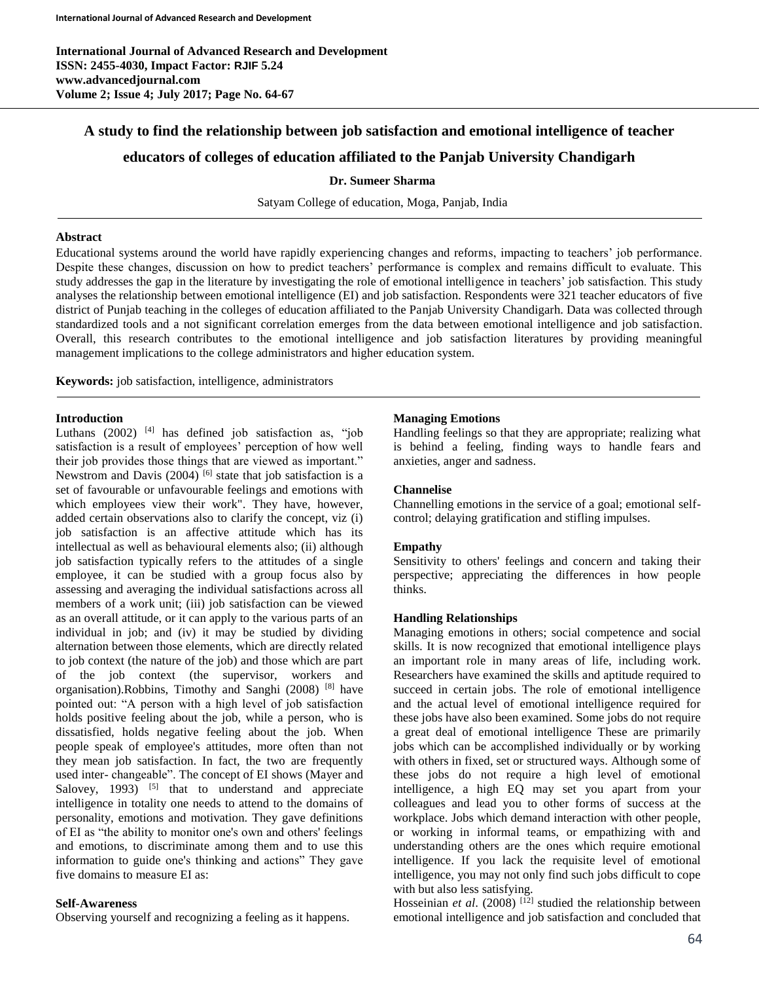# **A study to find the relationship between job satisfaction and emotional intelligence of teacher**

# **educators of colleges of education affiliated to the Panjab University Chandigarh**

#### **Dr. Sumeer Sharma**

Satyam College of education, Moga, Panjab, India

#### **Abstract**

Educational systems around the world have rapidly experiencing changes and reforms, impacting to teachers' job performance. Despite these changes, discussion on how to predict teachers' performance is complex and remains difficult to evaluate. This study addresses the gap in the literature by investigating the role of emotional intelligence in teachers' job satisfaction. This study analyses the relationship between emotional intelligence (EI) and job satisfaction. Respondents were 321 teacher educators of five district of Punjab teaching in the colleges of education affiliated to the Panjab University Chandigarh. Data was collected through standardized tools and a not significant correlation emerges from the data between emotional intelligence and job satisfaction. Overall, this research contributes to the emotional intelligence and job satisfaction literatures by providing meaningful management implications to the college administrators and higher education system.

**Keywords:** job satisfaction, intelligence, administrators

# **Introduction**

Luthans  $(2002)$  <sup>[4]</sup> has defined job satisfaction as, "job satisfaction is a result of employees' perception of how well their job provides those things that are viewed as important." Newstrom and Davis  $(2004)$ <sup>[6]</sup> state that job satisfaction is a set of favourable or unfavourable feelings and emotions with which employees view their work". They have, however, added certain observations also to clarify the concept, viz (i) job satisfaction is an affective attitude which has its intellectual as well as behavioural elements also; (ii) although job satisfaction typically refers to the attitudes of a single employee, it can be studied with a group focus also by assessing and averaging the individual satisfactions across all members of a work unit; (iii) job satisfaction can be viewed as an overall attitude, or it can apply to the various parts of an individual in job; and (iv) it may be studied by dividing alternation between those elements, which are directly related to job context (the nature of the job) and those which are part of the job context (the supervisor, workers and organisation).Robbins, Timothy and Sanghi (2008) [8] have pointed out: "A person with a high level of job satisfaction holds positive feeling about the job, while a person, who is dissatisfied, holds negative feeling about the job. When people speak of employee's attitudes, more often than not they mean job satisfaction. In fact, the two are frequently used inter- changeable". The concept of EI shows (Mayer and Salovey, 1993)  $[5]$  that to understand and appreciate intelligence in totality one needs to attend to the domains of personality, emotions and motivation. They gave definitions of EI as "the ability to monitor one's own and others' feelings and emotions, to discriminate among them and to use this information to guide one's thinking and actions" They gave five domains to measure EI as:

#### **Self-Awareness**

Observing yourself and recognizing a feeling as it happens.

# **Managing Emotions**

Handling feelings so that they are appropriate; realizing what is behind a feeling, finding ways to handle fears and anxieties, anger and sadness.

#### **Channelise**

Channelling emotions in the service of a goal; emotional selfcontrol; delaying gratification and stifling impulses.

# **Empathy**

Sensitivity to others' feelings and concern and taking their perspective; appreciating the differences in how people thinks.

#### **Handling Relationships**

Managing emotions in others; social competence and social skills. It is now recognized that emotional intelligence plays an important role in many areas of life, including work. Researchers have examined the skills and aptitude required to succeed in certain jobs. The role of emotional intelligence and the actual level of emotional intelligence required for these jobs have also been examined. Some jobs do not require a great deal of emotional intelligence These are primarily jobs which can be accomplished individually or by working with others in fixed, set or structured ways. Although some of these jobs do not require a high level of emotional intelligence, a high EQ may set you apart from your colleagues and lead you to other forms of success at the workplace. Jobs which demand interaction with other people, or working in informal teams, or empathizing with and understanding others are the ones which require emotional intelligence. If you lack the requisite level of emotional intelligence, you may not only find such jobs difficult to cope with but also less satisfying.

Hosseinian *et al.* (2008)<sup>[12]</sup> studied the relationship between emotional intelligence and job satisfaction and concluded that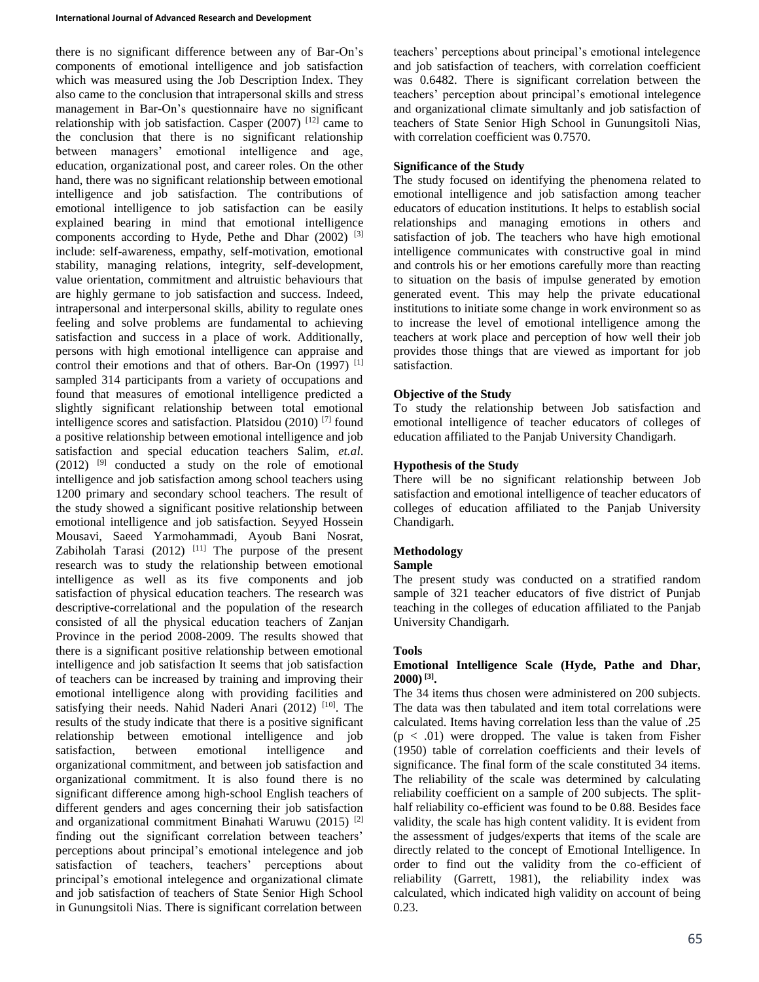there is no significant difference between any of Bar-On's components of emotional intelligence and job satisfaction which was measured using the Job Description Index. They also came to the conclusion that intrapersonal skills and stress management in Bar-On's questionnaire have no significant relationship with job satisfaction. Casper  $(2007)$ <sup>[12]</sup> came to the conclusion that there is no significant relationship<br>between managers' emotional intelligence and age,  $emotional$  intelligence and age, education, organizational post, and career roles. On the other hand, there was no significant relationship between emotional intelligence and job satisfaction. The contributions of emotional intelligence to job satisfaction can be easily explained bearing in mind that emotional intelligence components according to Hyde, Pethe and Dhar (2002)<sup>[3]</sup> include: self-awareness, empathy, self-motivation, emotional stability, managing relations, integrity, self-development, value orientation, commitment and altruistic behaviours that are highly germane to job satisfaction and success. Indeed, intrapersonal and interpersonal skills, ability to regulate ones feeling and solve problems are fundamental to achieving satisfaction and success in a place of work. Additionally, persons with high emotional intelligence can appraise and control their emotions and that of others. Bar-On (1997)<sup>[1]</sup> sampled 314 participants from a variety of occupations and found that measures of emotional intelligence predicted a slightly significant relationship between total emotional intelligence scores and satisfaction. Platsidou (2010) [7] found a positive relationship between emotional intelligence and job satisfaction and special education teachers Salim, *et.al*.  $(2012)$  <sup>[9]</sup> conducted a study on the role of emotional intelligence and job satisfaction among school teachers using 1200 primary and secondary school teachers. The result of the study showed a significant positive relationship between emotional intelligence and job satisfaction. Seyyed Hossein Mousavi, Saeed Yarmohammadi, Ayoub Bani Nosrat, Zabiholah Tarasi  $(2012)$ <sup>[11]</sup> The purpose of the present research was to study the relationship between emotional intelligence as well as its five components and job satisfaction of physical education teachers. The research was descriptive-correlational and the population of the research consisted of all the physical education teachers of Zanjan Province in the period 2008-2009. The results showed that there is a significant positive relationship between emotional intelligence and job satisfaction It seems that job satisfaction of teachers can be increased by training and improving their emotional intelligence along with providing facilities and satisfying their needs. Nahid Naderi Anari (2012)<sup>[10]</sup>. The results of the study indicate that there is a positive significant relationship between emotional intelligence and job satisfaction, between emotional intelligence and organizational commitment, and between job satisfaction and organizational commitment. It is also found there is no significant difference among high‐school English teachers of different genders and ages concerning their job satisfaction and organizational commitment Binahati Waruwu (2015) <sup>[2]</sup> finding out the significant correlation between teachers' perceptions about principal's emotional intelegence and job satisfaction of teachers, teachers' perceptions about principal's emotional intelegence and organizational climate and job satisfaction of teachers of State Senior High School in Gunungsitoli Nias. There is significant correlation between

teachers' perceptions about principal's emotional intelegence and job satisfaction of teachers, with correlation coefficient was 0.6482. There is significant correlation between the teachers' perception about principal's emotional intelegence and organizational climate simultanly and job satisfaction of teachers of State Senior High School in Gunungsitoli Nias, with correlation coefficient was 0.7570.

#### **Significance of the Study**

The study focused on identifying the phenomena related to emotional intelligence and job satisfaction among teacher educators of education institutions. It helps to establish social relationships and managing emotions in others and satisfaction of job. The teachers who have high emotional intelligence communicates with constructive goal in mind and controls his or her emotions carefully more than reacting to situation on the basis of impulse generated by emotion generated event. This may help the private educational institutions to initiate some change in work environment so as to increase the level of emotional intelligence among the teachers at work place and perception of how well their job provides those things that are viewed as important for job satisfaction.

# **Objective of the Study**

To study the relationship between Job satisfaction and emotional intelligence of teacher educators of colleges of education affiliated to the Panjab University Chandigarh.

#### **Hypothesis of the Study**

There will be no significant relationship between Job satisfaction and emotional intelligence of teacher educators of colleges of education affiliated to the Panjab University Chandigarh.

# **Methodology**

# **Sample**

The present study was conducted on a stratified random sample of 321 teacher educators of five district of Punjab teaching in the colleges of education affiliated to the Panjab University Chandigarh.

# **Tools**

#### **Emotional Intelligence Scale (Hyde, Pathe and Dhar, 2000) [3] .**

The 34 items thus chosen were administered on 200 subjects. The data was then tabulated and item total correlations were calculated. Items having correlation less than the value of .25  $(p < .01)$  were dropped. The value is taken from Fisher (1950) table of correlation coefficients and their levels of significance. The final form of the scale constituted 34 items. The reliability of the scale was determined by calculating reliability coefficient on a sample of 200 subjects. The splithalf reliability co-efficient was found to be 0.88. Besides face validity, the scale has high content validity. It is evident from the assessment of judges/experts that items of the scale are directly related to the concept of Emotional Intelligence. In order to find out the validity from the co-efficient of reliability (Garrett, 1981), the reliability index was calculated, which indicated high validity on account of being 0.23.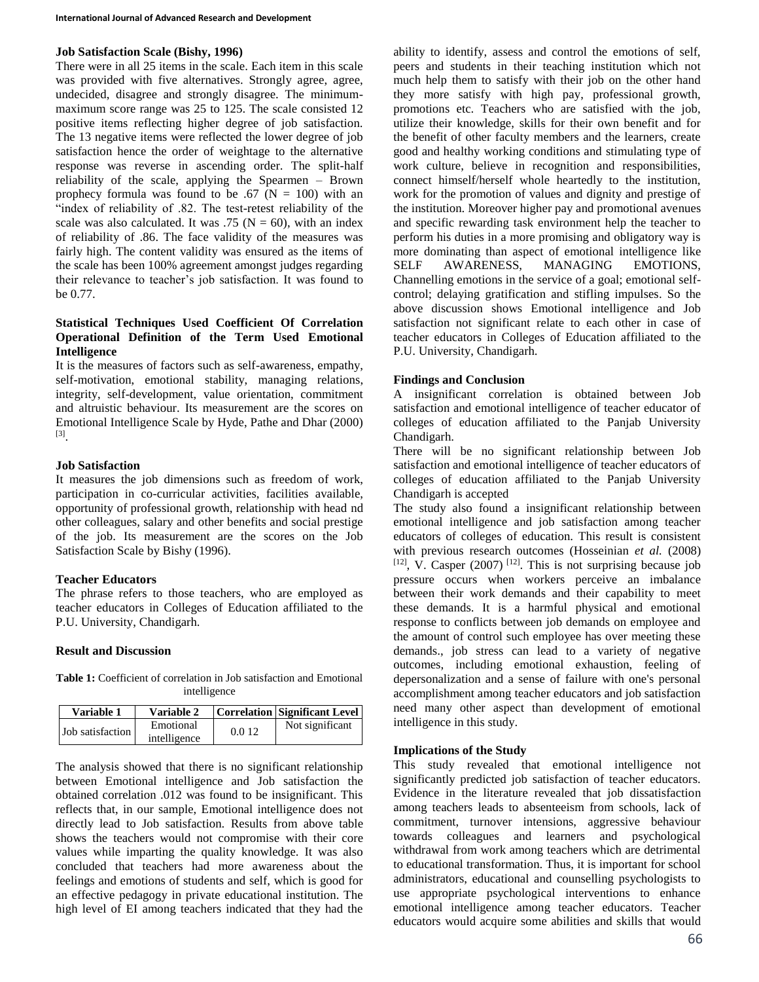#### **Job Satisfaction Scale (Bishy, 1996)**

There were in all 25 items in the scale. Each item in this scale was provided with five alternatives. Strongly agree, agree, undecided, disagree and strongly disagree. The minimummaximum score range was 25 to 125. The scale consisted 12 positive items reflecting higher degree of job satisfaction. The 13 negative items were reflected the lower degree of job satisfaction hence the order of weightage to the alternative response was reverse in ascending order. The split-half reliability of the scale, applying the Spearmen – Brown prophecy formula was found to be .67 ( $N = 100$ ) with an "index of reliability of .82. The test-retest reliability of the scale was also calculated. It was .75 ( $N = 60$ ), with an index of reliability of .86. The face validity of the measures was fairly high. The content validity was ensured as the items of the scale has been 100% agreement amongst judges regarding their relevance to teacher's job satisfaction. It was found to be 0.77.

#### **Statistical Techniques Used Coefficient Of Correlation Operational Definition of the Term Used Emotional Intelligence**

It is the measures of factors such as self-awareness, empathy, self-motivation, emotional stability, managing relations, integrity, self-development, value orientation, commitment and altruistic behaviour. Its measurement are the scores on Emotional Intelligence Scale by Hyde, Pathe and Dhar (2000) [3] .

#### **Job Satisfaction**

It measures the job dimensions such as freedom of work, participation in co-curricular activities, facilities available, opportunity of professional growth, relationship with head nd other colleagues, salary and other benefits and social prestige of the job. Its measurement are the scores on the Job Satisfaction Scale by Bishy (1996).

# **Teacher Educators**

The phrase refers to those teachers, who are employed as teacher educators in Colleges of Education affiliated to the P.U. University, Chandigarh.

# **Result and Discussion**

**Table 1:** Coefficient of correlation in Job satisfaction and Emotional intelligence

| Variable 1       | Variable 2                |       | Correlation Significant Level |
|------------------|---------------------------|-------|-------------------------------|
| Job satisfaction | Emotional<br>intelligence | 0.012 | Not significant               |

The analysis showed that there is no significant relationship between Emotional intelligence and Job satisfaction the obtained correlation .012 was found to be insignificant. This reflects that, in our sample, Emotional intelligence does not directly lead to Job satisfaction. Results from above table shows the teachers would not compromise with their core values while imparting the quality knowledge. It was also concluded that teachers had more awareness about the feelings and emotions of students and self, which is good for an effective pedagogy in private educational institution. The high level of EI among teachers indicated that they had the ability to identify, assess and control the emotions of self, peers and students in their teaching institution which not much help them to satisfy with their job on the other hand they more satisfy with high pay, professional growth, promotions etc. Teachers who are satisfied with the job, utilize their knowledge, skills for their own benefit and for the benefit of other faculty members and the learners, create good and healthy working conditions and stimulating type of work culture, believe in recognition and responsibilities, connect himself/herself whole heartedly to the institution, work for the promotion of values and dignity and prestige of the institution. Moreover higher pay and promotional avenues and specific rewarding task environment help the teacher to perform his duties in a more promising and obligatory way is more dominating than aspect of emotional intelligence like SELF AWARENESS, MANAGING EMOTIONS, Channelling emotions in the service of a goal; emotional selfcontrol; delaying gratification and stifling impulses. So the above discussion shows Emotional intelligence and Job satisfaction not significant relate to each other in case of teacher educators in Colleges of Education affiliated to the P.U. University, Chandigarh.

# **Findings and Conclusion**

A insignificant correlation is obtained between Job satisfaction and emotional intelligence of teacher educator of colleges of education affiliated to the Panjab University Chandigarh.

There will be no significant relationship between Job satisfaction and emotional intelligence of teacher educators of colleges of education affiliated to the Panjab University Chandigarh is accepted

The study also found a insignificant relationship between emotional intelligence and job satisfaction among teacher educators of colleges of education. This result is consistent with previous research outcomes (Hosseinian *et al.* (2008)  $[12]$ , V. Casper (2007)  $[12]$ . This is not surprising because job pressure occurs when workers perceive an imbalance between their work demands and their capability to meet these demands. It is a harmful physical and emotional response to conflicts between job demands on employee and the amount of control such employee has over meeting these demands., job stress can lead to a variety of negative outcomes, including emotional exhaustion, feeling of depersonalization and a sense of failure with one's personal accomplishment among teacher educators and job satisfaction need many other aspect than development of emotional intelligence in this study.

# **Implications of the Study**

This study revealed that emotional intelligence not significantly predicted job satisfaction of teacher educators. Evidence in the literature revealed that job dissatisfaction among teachers leads to absenteeism from schools, lack of commitment, turnover intensions, aggressive behaviour towards colleagues and learners and psychological withdrawal from work among teachers which are detrimental to educational transformation. Thus, it is important for school administrators, educational and counselling psychologists to use appropriate psychological interventions to enhance emotional intelligence among teacher educators. Teacher educators would acquire some abilities and skills that would